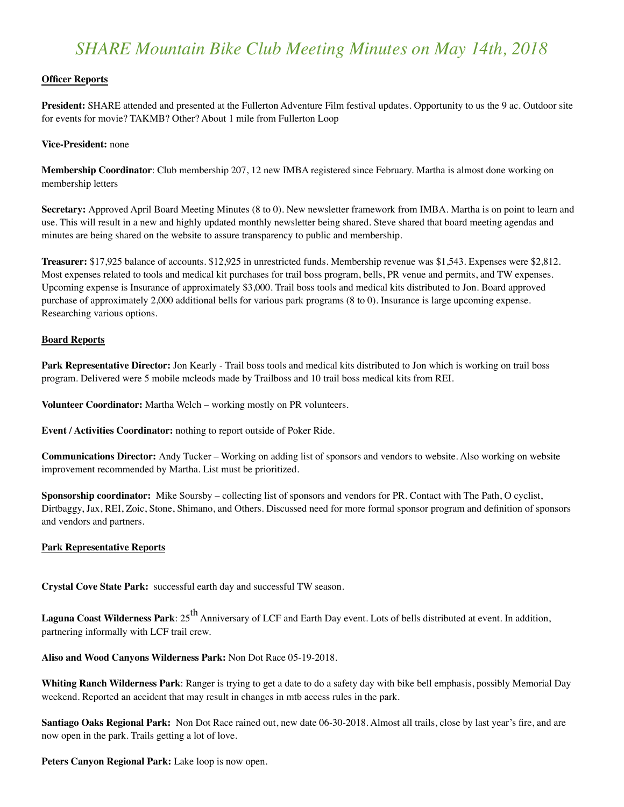# *SHARE Mountain Bike Club Meeting Minutes on May 14th, 2018*

## **Officer Reports**

**President:** SHARE attended and presented at the Fullerton Adventure Film festival updates. Opportunity to us the 9 ac. Outdoor site for events for movie? TAKMB? Other? About 1 mile from Fullerton Loop

#### **Vice-President:** none

**Membership Coordinator**: Club membership 207, 12 new IMBA registered since February. Martha is almost done working on membership letters

**Secretary:** Approved April Board Meeting Minutes (8 to 0). New newsletter framework from IMBA. Martha is on point to learn and use. This will result in a new and highly updated monthly newsletter being shared. Steve shared that board meeting agendas and minutes are being shared on the website to assure transparency to public and membership.

**Treasurer:** \$17,925 balance of accounts. \$12,925 in unrestricted funds. Membership revenue was \$1,543. Expenses were \$2,812. Most expenses related to tools and medical kit purchases for trail boss program, bells, PR venue and permits, and TW expenses. Upcoming expense is Insurance of approximately \$3,000. Trail boss tools and medical kits distributed to Jon. Board approved purchase of approximately 2,000 additional bells for various park programs (8 to 0). Insurance is large upcoming expense. Researching various options.

#### **Board Reports**

**Park Representative Director:** Jon Kearly - Trail boss tools and medical kits distributed to Jon which is working on trail boss program. Delivered were 5 mobile mcleods made by Trailboss and 10 trail boss medical kits from REI.

**Volunteer Coordinator:** Martha Welch – working mostly on PR volunteers.

**Event / Activities Coordinator:** nothing to report outside of Poker Ride.

**Communications Director:** Andy Tucker – Working on adding list of sponsors and vendors to website. Also working on website improvement recommended by Martha. List must be prioritized.

**Sponsorship coordinator:** Mike Soursby – collecting list of sponsors and vendors for PR. Contact with The Path, O cyclist, Dirtbaggy, Jax, REI, Zoic, Stone, Shimano, and Others. Discussed need for more formal sponsor program and definition of sponsors and vendors and partners.

#### **Park Representative Reports**

**Crystal Cove State Park:** successful earth day and successful TW season.

**Laguna Coast Wilderness Park**: 25<sup>th</sup> Anniversary of LCF and Earth Day event. Lots of bells distributed at event. In addition, partnering informally with LCF trail crew.

**Aliso and Wood Canyons Wilderness Park:** Non Dot Race 05-19-2018.

**Whiting Ranch Wilderness Park**: Ranger is trying to get a date to do a safety day with bike bell emphasis, possibly Memorial Day weekend. Reported an accident that may result in changes in mtb access rules in the park.

**Santiago Oaks Regional Park:** Non Dot Race rained out, new date 06-30-2018. Almost all trails, close by last year's fire, and are now open in the park. Trails getting a lot of love.

**Peters Canyon Regional Park:** Lake loop is now open.